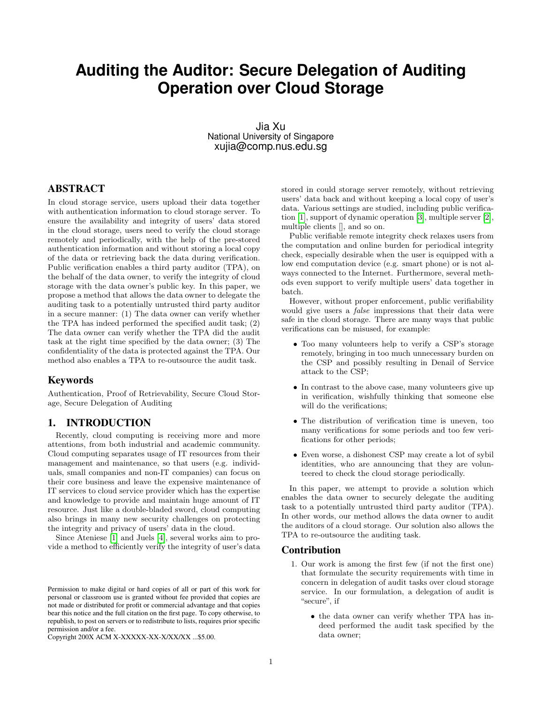# **Auditing the Auditor: Secure Delegation of Auditing Operation over Cloud Storage**

Jia Xu National University of Singapore xujia@comp.nus.edu.sg

# ABSTRACT

In cloud storage service, users upload their data together with authentication information to cloud storage server. To ensure the availability and integrity of users' data stored in the cloud storage, users need to verify the cloud storage remotely and periodically, with the help of the pre-stored authentication information and without storing a local copy of the data or retrieving back the data during verification. Public verification enables a third party auditor (TPA), on the behalf of the data owner, to verify the integrity of cloud storage with the data owner's public key. In this paper, we propose a method that allows the data owner to delegate the auditing task to a potentially untrusted third party auditor in a secure manner: (1) The data owner can verify whether the TPA has indeed performed the specified audit task; (2) The data owner can verify whether the TPA did the audit task at the right time specified by the data owner; (3) The confidentiality of the data is protected against the TPA. Our method also enables a TPA to re-outsource the audit task.

## Keywords

Authentication, Proof of Retrievability, Secure Cloud Storage, Secure Delegation of Auditing

## 1. INTRODUCTION

Recently, cloud computing is receiving more and more attentions, from both industrial and academic community. Cloud computing separates usage of IT resources from their management and maintenance, so that users (e.g. individuals, small companies and non-IT companies) can focus on their core business and leave the expensive maintenance of IT services to cloud service provider which has the expertise and knowledge to provide and maintain huge amount of IT resource. Just like a double-bladed sword, cloud computing also brings in many new security challenges on protecting the integrity and privacy of users' data in the cloud.

Since Ateniese [\[1\]](#page-4-0) and Juels [\[4\]](#page-4-1), several works aim to provide a method to efficiently verify the integrity of user's data

Copyright 200X ACM X-XXXXX-XX-X/XX/XX ...\$5.00.

stored in could storage server remotely, without retrieving users' data back and without keeping a local copy of user's data. Various settings are studied, including public verification [\[1\]](#page-4-0), support of dynamic operation [\[3\]](#page-4-2), multiple server [\[2\]](#page-4-3), multiple clients [], and so on.

Public verifiable remote integrity check relaxes users from the computation and online burden for periodical integrity check, especially desirable when the user is equipped with a low end computation device (e.g. smart phone) or is not always connected to the Internet. Furthermore, several methods even support to verify multiple users' data together in batch.

However, without proper enforcement, public verifiability would give users a false impressions that their data were safe in the cloud storage. There are many ways that public verifications can be misused, for example:

- Too many volunteers help to verify a CSP's storage remotely, bringing in too much unnecessary burden on the CSP and possibly resulting in Denail of Service attack to the CSP;
- In contrast to the above case, many volunteers give up in verification, wishfully thinking that someone else will do the verifications;
- The distribution of verification time is uneven, too many verifications for some periods and too few verifications for other periods;
- Even worse, a dishonest CSP may create a lot of sybil identities, who are announcing that they are volunteered to check the cloud storage periodically.

In this paper, we attempt to provide a solution which enables the data owner to securely delegate the auditing task to a potentially untrusted third party auditor (TPA). In other words, our method allows the data owner to audit the auditors of a cloud storage. Our solution also allows the TPA to re-outsource the auditing task.

#### Contribution

- 1. Our work is among the first few (if not the first one) that formulate the security requirements with time in concern in delegation of audit tasks over cloud storage service. In our formulation, a delegation of audit is "secure", if
	- the data owner can verify whether TPA has indeed performed the audit task specified by the data owner;

Permission to make digital or hard copies of all or part of this work for personal or classroom use is granted without fee provided that copies are not made or distributed for profit or commercial advantage and that copies bear this notice and the full citation on the first page. To copy otherwise, to republish, to post on servers or to redistribute to lists, requires prior specific permission and/or a fee.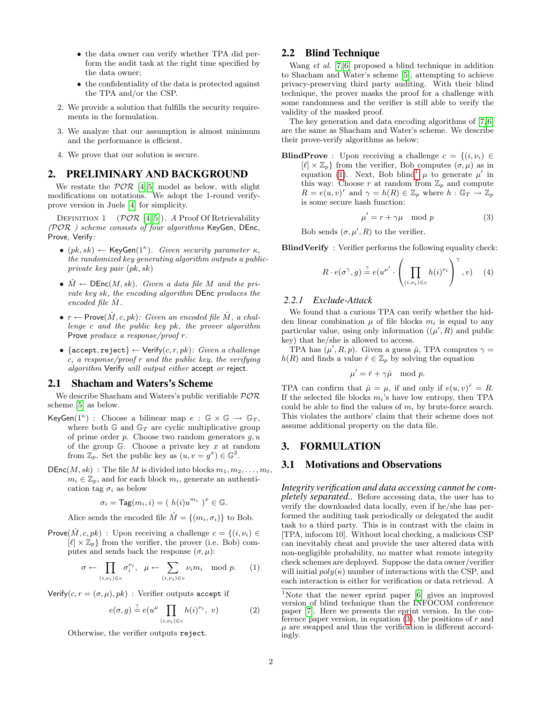- the data owner can verify whether TPA did perform the audit task at the right time specified by the data owner;
- the confidentiality of the data is protected against the TPA and/or the CSP.
- 2. We provide a solution that fulfills the security requirements in the formulation.
- 3. We analyze that our assumption is almost minimum and the performance is efficient.
- 4. We prove that our solution is secure.

## 2. PRELIMINARY AND BACKGROUND

We restate the  $\mathcal{P} \mathcal{O} \mathcal{R}$  [\[4,](#page-4-1) [5\]](#page-4-4) model as below, with slight modifications on notations. We adopt the 1-round verifyprove version in Juels [\[4\]](#page-4-1) for simplicity.

DEFINITION 1 ( $\mathcal{P} \mathcal{O} \mathcal{R}$  [\[4,](#page-4-1) [5\]](#page-4-4)). A Proof Of Retrievability  $(POR)$  scheme consists of four algorithms KeyGen, DEnc, Prove, Verify:

- $(pk, sk) \leftarrow \text{KeyGen}(1^{\kappa})$ . Given security parameter  $\kappa$ , the randomized key generating algorithm outputs a publicprivate key pair (pk, sk)
- $\hat{M} \leftarrow \text{DEnc}(M, sk)$ . Given a data file M and the private key sk, the encoding algorithm DEnc produces the encoded file  $\hat{M}$ .
- $r \leftarrow$  Prove $(\hat{M}, c, pk)$ : Given an encoded file  $\hat{M}$ , a challenge c and the public key pk, the prover algorithm Prove produce a response/proof r.
- {accept, reject}  $\leftarrow$  Verify $(c, r, pk)$ : Given a challenge  $c, a$  response/proof  $r$  and the public key, the verifying algorithm Verify will output either accept or reject.

#### 2.1 Shacham and Waters's Scheme

We describe Shacham and Waters's public verifiable  $\mathcal{P} \mathcal{O} \mathcal{R}$ scheme [\[5\]](#page-4-4) as below.

- KeyGen(1<sup> $\kappa$ </sup>) : Choose a bilinear map  $e : \mathbb{G} \times \mathbb{G} \to \mathbb{G}_T$ , where both  $\mathbb{G}$  and  $\mathbb{G}_T$  are cyclic multiplicative group of prime order  $p$ . Choose two random generators  $q, u$ of the group  $\mathbb{G}$ . Choose a private key x at random from  $\mathbb{Z}_p$ . Set the public key as  $(u, v = g^x) \in \mathbb{G}^2$ .
- $DEnc(M, sk)$ : The file M is divided into blocks  $m_1, m_2, \ldots, m_\ell,$  $m_i \in \mathbb{Z}_p$ , and for each block  $m_i$ , generate an authentication tag  $\sigma_i$  as below

$$
\sigma_i = \mathsf{Tag}(m_i, i) = (h(i)u^{m_i})^x \in \mathbb{G}.
$$

Alice sends the encoded file  $\hat{M} = \{(m_i, \sigma_i)\}\)$  to Bob.

Prove $(\hat{M}, c, pk)$ : Upon receiving a challenge  $c = \{(i, \nu_i) \in$  $[\ell] \times \mathbb{Z}_p$  from the verifier, the prover (i.e. Bob) computes and sends back the response  $(\sigma, \mu)$ :

<span id="page-1-0"></span>
$$
\sigma \leftarrow \prod_{(i,\nu_i)\in c} \sigma_i^{\nu_i}, \quad \mu \leftarrow \sum_{(i,\nu_i)\in c} \nu_i m_i \mod p. \tag{1}
$$

Verify $(c, r = (\sigma, \mu), pk)$ : Verifier outputs accept if

$$
e(\sigma, g) \stackrel{?}{=} e(u^{\mu} \prod_{(i,\nu_i)\in c} h(i)^{\nu_i}, v)
$$
 (2)

Otherwise, the verifier outputs reject.

# 2.2 Blind Technique

Wang et al. [\[7,](#page-4-5)6] proposed a blind technique in addition to Shacham and Water's scheme [\[5\]](#page-4-4), attempting to achieve privacy-preserving third party auditing. With their blind technique, the prover masks the proof for a challenge with some randomness and the verifier is still able to verify the validity of the masked proof.

The key generation and data encoding algorithms of [\[7,](#page-4-5) [6\]](#page-4-6) are the same as Shacham and Water's scheme. We describe their prove-verify algorithms as below:

**BlindProve** : Upon receiving a challenge  $c = \{(i, \nu_i) \in$  $[\ell] \times \mathbb{Z}_p$  from the verifier, Bob computes  $(\sigma, \mu)$  as in equation [\(1\)](#page-1-0). Next, Bob blind<sup>[1](#page-1-1)</sup>  $\mu$  to generate  $\mu'$  in this way: Choose  $r$  at random from  $\mathbb{Z}_p$  and compute  $R = e(u, v)^r$  and  $\gamma = h(R) \in \mathbb{Z}_p$  where  $h : \mathbb{G}_T \to \mathbb{Z}_p$ is some secure hash function:

<span id="page-1-2"></span>
$$
\mu' = r + \gamma \mu \mod p \tag{3}
$$

Bob sends  $(\sigma, \mu', R)$  to the verifier.

BlindVerify : Verifier performs the following equality check:

$$
R \cdot e(\sigma^{\gamma}, g) \stackrel{?}{=} e(u^{\mu'} \cdot \left(\prod_{(i,\nu_i)\in c} h(i)^{\nu_i}\right)^{\gamma}, v) \quad (4)
$$

#### <span id="page-1-3"></span>*2.2.1 Exclude-Attack*

We found that a curious TPA can verify whether the hidden linear combination  $\mu$  of file blocks  $m_i$  is equal to any particular value, using only information  $((\mu', R)$  and public key) that he/she is allowed to access.

TPA has  $(\mu', R, p)$ . Given a guess  $\hat{\mu}$ , TPA computes  $\gamma =$  $h(R)$  and finds a value  $\hat{r} \in \mathbb{Z}_p$  by solving the equation

$$
\mu' = \hat{r} + \gamma \hat{\mu} \mod p.
$$

TPA can confirm that  $\hat{\mu} = \mu$ , if and only if  $e(u, v)^{\hat{r}} = R$ . If the selected file blocks  $m_i$ 's have low entropy, then TPA could be able to find the values of  $m_i$  by brute-force search. This violates the authors' claim that their scheme does not assume additional property on the data file.

## 3. FORMULATION

## 3.1 Motivations and Observations

*Integrity verification and data accessing cannot be completely separated..* Before accessing data, the user has to verify the downloaded data locally, even if he/she has performed the auditing task periodically or delegated the audit task to a third party. This is in contrast with the claim in [TPA, infocom 10]. Without local checking, a malicious CSP can inevitably cheat and provide the user altered data with non-negligible probability, no matter what remote integrity check schemes are deployed. Suppose the data owner/verifier will initial  $poly(\kappa)$  number of interactions with the CSP, and each interaction is either for verification or data retrieval. A

<span id="page-1-1"></span><sup>&</sup>lt;sup>1</sup>Note that the newer eprint paper [\[6\]](#page-4-6) gives an improved version of blind technique than the INFOCOM conference paper [\[7\]](#page-4-5). Here we presents the eprint version. In the conference paper version, in equation  $(3)$ , the positions of r and  $\mu$  are swapped and thus the verification is different accordingly.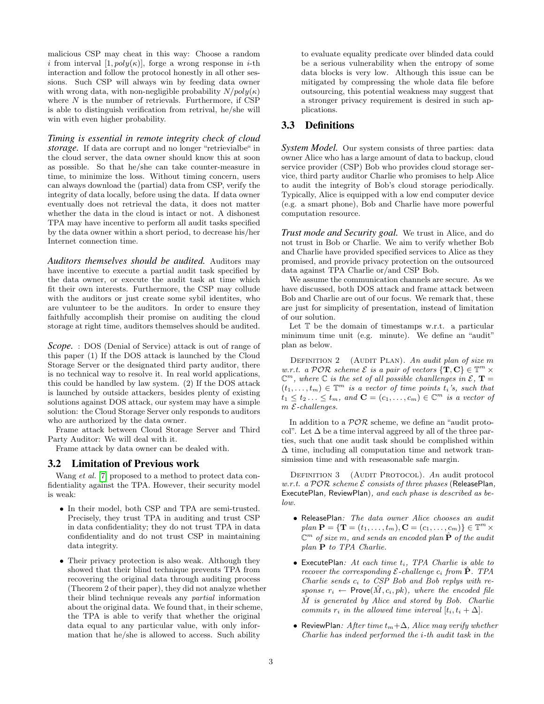malicious CSP may cheat in this way: Choose a random i from interval  $[1, poly(\kappa)]$ , forge a wrong response in i-th interaction and follow the protocol honestly in all other sessions. Such CSP will always win by feeding data owner with wrong data, with non-negligible probability  $N/poly(\kappa)$ where  $N$  is the number of retrievals. Furthermore, if CSP is able to distinguish verification from retrival, he/she will win with even higher probability.

*Timing is essential in remote integrity check of cloud storage.* If data are corrupt and no longer "retrievialbe" in the cloud server, the data owner should know this at soon as possible. So that he/she can take counter-measure in time, to minimize the loss. Without timing concern, users can always download the (partial) data from CSP, verify the integrity of data locally, before using the data. If data owner eventually does not retrieval the data, it does not matter whether the data in the cloud is intact or not. A dishonest TPA may have incentive to perform all audit tasks specified by the data owner within a short period, to decrease his/her Internet connection time.

*Auditors themselves should be audited.* Auditors may have incentive to execute a partial audit task specified by the data owner, or execute the audit task at time which fit their own interests. Furthermore, the CSP may collude with the auditors or just create some sybil identites, who are vulunteer to be the auditors. In order to ensure they faithfully accomplish their promise on auditing the cloud storage at right time, auditors themselves should be audited.

*Scope.* : DOS (Denial of Service) attack is out of range of this paper (1) If the DOS attack is launched by the Cloud Storage Server or the designated third party auditor, there is no technical way to resolve it. In real world applications, this could be handled by law system. (2) If the DOS attack is launched by outside attackers, besides plenty of existing solutions against DOS attack, our system may have a simple solution: the Cloud Storage Server only responds to auditors who are authorized by the data owner.

Frame attack between Cloud Storage Server and Third Party Auditor: We will deal with it.

Frame attack by data owner can be dealed with.

## 3.2 Limitation of Previous work

Wang *et al.* [\[7\]](#page-4-5) proposed to a method to protect data confidentiality against the TPA. However, their security model is weak:

- In their model, both CSP and TPA are semi-trusted. Precisely, they trust TPA in auditing and trust CSP in data confidentiality; they do not trust TPA in data confidentiality and do not trust CSP in maintaining data integrity.
- Their privacy protection is also weak. Although they showed that their blind technique prevents TPA from recovering the original data through auditing process (Theorem 2 of their paper), they did not analyze whether their blind technique reveals any partial information about the original data. We found that, in their scheme, the TPA is able to verify that whether the original data equal to any particular value, with only information that he/she is allowed to access. Such ability

to evaluate equality predicate over blinded data could be a serious vulnerability when the entropy of some data blocks is very low. Although this issue can be mitigated by compressing the whole data file before outsourcing, this potential weakness may suggest that a stronger privacy requirement is desired in such applications.

# 3.3 Definitions

**System Model.** Our system consists of three parties: data owner Alice who has a large amount of data to backup, cloud service provider (CSP) Bob who provides cloud storage service, third party auditor Charlie who promises to help Alice to audit the integrity of Bob's cloud storage periodically. Typically, Alice is equipped with a low end computer device (e.g. a smart phone), Bob and Charlie have more powerful computation resource.

*Trust mode and Security goal.* We trust in Alice, and do not trust in Bob or Charlie. We aim to verify whether Bob and Charlie have provided specified services to Alice as they promised, and provide privacy protection on the outsourced data against TPA Charlie or/and CSP Bob.

We assume the communication channels are secure. As we have discussed, both DOS attack and frame attack between Bob and Charlie are out of our focus. We remark that, these are just for simplicity of presentation, instead of limitation of our solution.

Let T be the domain of timestamps w.r.t. a particular minimum time unit (e.g. minute). We define an "audit" plan as below.

DEFINITION 2 (AUDIT PLAN). An audit plan of size  $m$ w.r.t. a POR scheme  $\mathcal E$  is a pair of vectors  $\{T, C\} \in \mathbb{T}^m$   $\times$  $\mathbb{C}^m$ , where  $\mathbb C$  is the set of all possible chanllenges in  $\mathcal E$ ,  $\mathbf T =$  $(t_1, \ldots, t_m) \in \mathbb{T}^m$  is a vector of time points  $t_i$ 's, such that  $t_1 \leq t_2 \ldots \leq t_m$ , and  $\mathbf{C} = (c_1, \ldots, c_m) \in \mathbb{C}^m$  is a vector of  $m$   ${\mathcal E}\mbox{-}challenges.$ 

In addition to a  $\mathcal{P} \mathcal{O} \mathcal{R}$  scheme, we define an "audit protocol". Let  $\Delta$  be a time interval aggreed by all of the three parties, such that one audit task should be complished within ∆ time, including all computation time and network transimission time and with reseasonable safe margin.

DEFINITION 3 (AUDIT PROTOCOL). An audit protocol  $w.r.t.$  a  $POR$  scheme  $E$  consists of three phases (ReleasePlan, ExecutePlan, ReviewPlan), and each phase is described as below.

- ReleasePlan: The data owner Alice chooses an audit  $plan \mathbf{P} = {\mathbf{T} = (t_1, \ldots, t_m), \mathbf{C} = (c_1, \ldots, c_m)} \in \mathbb{T}^m \times$  $\mathbb{C}^m$  of size  $m,$  and sends an encoded plan  $\hat{\mathbf{P}}$  of the audit plan P to TPA Charlie.
- $\bullet$  ExecutePlan: At each time  $t_i$ , TPA Charlie is able to recover the corresponding  $\mathcal{E}\text{-}challenge$   $c_i$  from  $\mathbf{P}\text{.}$  TPA Charlie sends  $c_i$  to CSP Bob and Bob replys with response  $r_i \leftarrow \text{Prove}(\hat{M}, c_i, pk)$ , where the encoded file  $\hat{M}$  is generated by Alice and stored by Bob. Charlie commits  $r_i$  in the allowed time interval  $[t_i, t_i + \Delta]$ .
- ReviewPlan: After time  $t_m+\Delta$ , Alice may verify whether Charlie has indeed performed the i-th audit task in the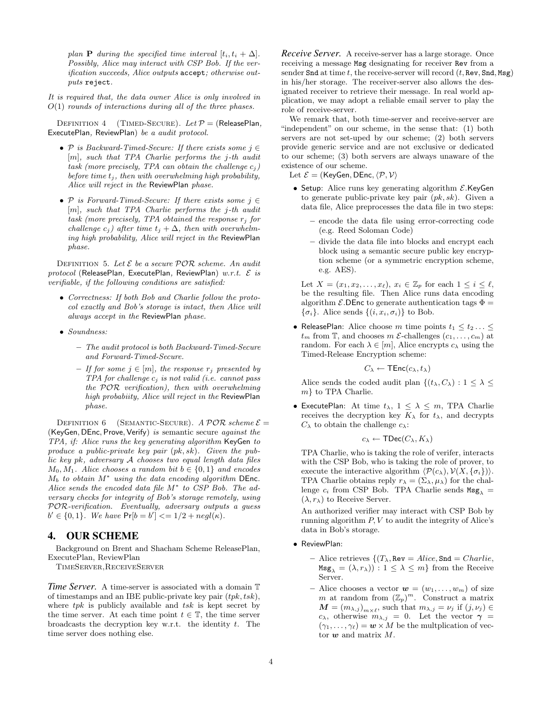plan **P** during the specified time interval  $[t_i, t_i + \Delta]$ . Possibly, Alice may interact with CSP Bob. If the verification succeeds, Alice outputs accept; otherwise outputs reject.

It is required that, the data owner Alice is only involved in  $O(1)$  rounds of interactions during all of the three phases.

DEFINITION 4 (TIMED-SECURE). Let  $P =$  (ReleasePlan, ExecutePlan, ReviewPlan) be a audit protocol.

- P is Backward-Timed-Secure: If there exists some  $j \in$ [m], such that TPA Charlie performs the j-th audit task (more precisely, TPA can obtain the challenge  $c_j$ ) before time  $t_j$ , then with overwhelming high probability, Alice will reject in the ReviewPlan phase.
- P is Forward-Timed-Secure: If there exists some  $j \in$ [m], such that TPA Charlie performs the j-th audit task (more precisely, TPA obtained the response  $r_j$  for challenge  $c_j$ ) after time  $t_j + \Delta$ , then with overwhelming high probability, Alice will reject in the ReviewPlan phase.

<span id="page-3-0"></span>DEFINITION 5. Let  $\mathcal E$  be a secure  $\mathcal P\mathcal O\mathcal R$  scheme. An audit  $protocol$  (ReleasePlan, ExecutePlan, ReviewPlan)  $w.r.t.$   $\mathcal{E}$  is verifiable, if the following conditions are satisfied:

- Correctness: If both Bob and Charlie follow the protocol exactly and Bob's storage is intact, then Alice will always accept in the ReviewPlan phase.
- Soundness:
	- The audit protocol is both Backward-Timed-Secure and Forward-Timed-Secure.
	- If for some  $j \in [m]$ , the response  $r_j$  presented by  $TPA$  for challenge  $c_i$  is not valid (i.e. cannot pass the POR verification), then with overwhelming high probabiity, Alice will reject in the ReviewPlan phase.

<span id="page-3-1"></span>DEFINITION 6 (SEMANTIC-SECURE). A POR scheme  $\mathcal{E} =$ (KeyGen, DEnc, Prove, Verify) is semantic secure *against the* TPA, if: Alice runs the key generating algorithm KeyGen to produce a public-private key pair (pk, sk). Given the public key pk, adversary A chooses two equal length data files  $M_0, M_1$ . Alice chooses a random bit  $b \in \{0, 1\}$  and encodes  $M_b$  to obtain  $M^*$  using the data encoding algorithm DEnc. Alice sends the encoded data file M<sup>\*</sup> to CSP Bob. The adversary checks for integrity of Bob's storage remotely, using POR-verification. Eventually, adversary outputs a guess  $b' \in \{0, 1\}$ . We have  $Pr[b = b'] \leq 1/2 + negl(\kappa)$ .

# 4. OUR SCHEME

Background on Brent and Shacham Scheme ReleasePlan, ExecutePlan, ReviewPlan

TimeServer,ReceiveServer

*Time Server.* A time-server is associated with a domain  $\mathbb{T}$ of timestamps and an IBE public-private key pair  $(tpk, tsk)$ , where  $tpk$  is publicly available and  $tsk$  is kept secret by the time server. At each time point  $t \in \mathbb{T}$ , the time server broadcasts the decryption key w.r.t. the identity  $t$ . The time server does nothing else.

*Receive Server.* A receive-server has a large storage. Once receiving a message Msg designating for receiver Rev from a sender Snd at time t, the receive-server will record  $(t, \text{Rev}, \text{Snd}, \text{Msg})$ in his/her storage. The receiver-server also allows the designated receiver to retrieve their message. In real world application, we may adopt a reliable email server to play the role of receive-server.

We remark that, both time-server and receive-server are "independent" on our scheme, in the sense that: (1) both servers are not set-uped by our scheme; (2) both servers provide generic service and are not exclusive or dedicated to our scheme; (3) both servers are always unaware of the existence of our scheme.

Let  $\mathcal{E} =$  (KeyGen, DEnc,  $\langle \mathcal{P}, \mathcal{V} \rangle$ 

- Setup: Alice runs key generating algorithm  $\mathcal{E}$ .KeyGen to generate public-private key pair  $(pk, sk)$ . Given a data file, Alice preprocesses the data file in two steps:
	- encode the data file using error-correcting code (e.g. Reed Soloman Code)
	- divide the data file into blocks and encrypt each block using a semantic secure public key encryption scheme (or a symmetric encryption scheme, e.g. AES).

Let  $X = (x_1, x_2, \ldots, x_\ell), x_i \in \mathbb{Z}_p$  for each  $1 \leq i \leq \ell$ , be the resulting file. Then Alice runs data encoding algorithm  $\mathcal{E}$ . DEnc to generate authentication tags  $\Phi =$  $\{\sigma_i\}$ . Alice sends  $\{(i, x_i, \sigma_i)\}$  to Bob.

• ReleasePlan: Alice choose m time points  $t_1 \leq t_2 \ldots \leq$  $t_m$  from T, and chooses m  $\mathcal{E}\text{-challenges } (c_1, \ldots, c_m)$  at random. For each  $\lambda \in [m]$ , Alice encrypts  $c_{\lambda}$  using the Timed-Release Encryption scheme:

$$
C_{\lambda} \leftarrow \mathsf{TEnc}(c_{\lambda}, t_{\lambda})
$$

Alice sends the coded audit plan  $\{(t_\lambda, C_\lambda): 1 \leq \lambda \leq$ m} to TPA Charlie.

• ExecutePlan: At time  $t_{\lambda}$ ,  $1 \leq \lambda \leq m$ , TPA Charlie receives the decryption key  $K_{\lambda}$  for  $t_{\lambda}$ , and decrypts  $C_{\lambda}$  to obtain the challenge  $c_{\lambda}$ :

$$
c_{\lambda} \leftarrow \mathsf{TDec}(C_{\lambda}, K_{\lambda})
$$

TPA Charlie, who is taking the role of verifer, interacts with the CSP Bob, who is taking the role of prover, to execute the interactive algorithm  $\langle \mathcal{P}(c_{\lambda}), \mathcal{V}(X, {\{\sigma_i\}})\rangle$ . TPA Charlie obtains reply  $r_{\lambda} = (\Sigma_{\lambda}, \mu_{\lambda})$  for the challenge  $c_i$  from CSP Bob. TPA Charlie sends  $Msg_\lambda =$  $(\lambda, r_\lambda)$  to Receive Server.

An authorized verifier may interact with CSP Bob by running algorithm  $P, V$  to audit the integrity of Alice's data in Bob's storage.

- ReviewPlan:
	- Alice retrieves  $\{(T_{\lambda}, \text{Rev} = Alice, \text{Snd} = Charlie,$  $\text{Msg}_{\lambda} = (\lambda, r_{\lambda}) : 1 \leq \lambda \leq m$  from the Receive Server.
	- Alice chooses a vector  $w = (w_1, \ldots, w_m)$  of size m at random from  $(\mathbb{Z}_p)^m$ . Construct a matrix  $\boldsymbol{M} = (m_{\lambda,j})_{m \times \ell}$ , such that  $m_{\lambda,j} = \nu_j$  if  $(j, \nu_j) \in$  $c_{\lambda}$ , otherwise  $m_{\lambda,j} = 0$ . Let the vector  $\gamma =$  $(\gamma_1, \ldots, \gamma_\ell) = \mathbf{w} \times M$  be the multplication of vector  $w$  and matrix  $M$ .